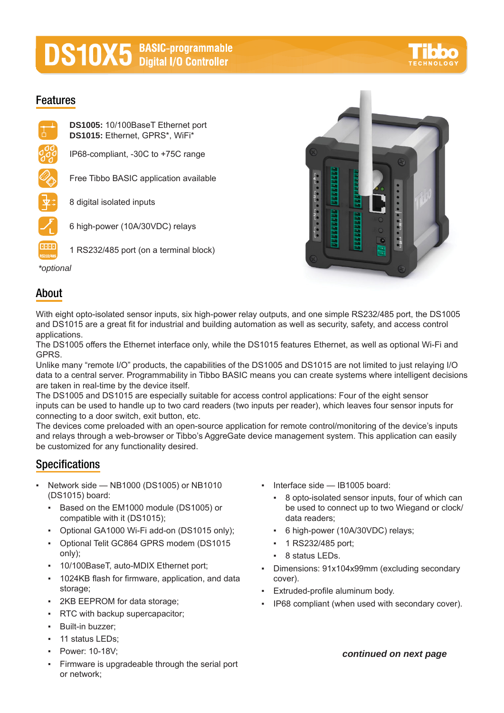# **DS10X5** BASIC-programmable

# **Features**





## **About**

With eight opto-isolated sensor inputs, six high-power relay outputs, and one simple RS232/485 port, the DS1005 and DS1015 are a great fit for industrial and building automation as well as security, safety, and access control applications.

The DS1005 offers the Ethernet interface only, while the DS1015 features Ethernet, as well as optional Wi-Fi and GPRS.

Unlike many "remote I/O" products, the capabilities of the DS1005 and DS1015 are not limited to just relaying I/O data to a central server. Programmability in Tibbo BASIC means you can create systems where intelligent decisions are taken in real-time by the device itself.

The DS1005 and DS1015 are especially suitable for access control applications: Four of the eight sensor inputs can be used to handle up to two card readers (two inputs per reader), which leaves four sensor inputs for connecting to a door switch, exit button, etc.

The devices come preloaded with an open-source application for remote control/monitoring of the device's inputs and relays through a web-browser or Tibbo's AggreGate device management system. This application can easily be customized for any functionality desired.

# **Specifications**

- Network side  $-$  NB1000 (DS1005) or NB1010 (DS1015) board:
	- Based on the EM1000 module (DS1005) or compatible with it (DS1015);
	- Optional GA1000 Wi-Fi add-on (DS1015 only);
	- Optional Telit GC864 GPRS modem (DS1015 only);
	- 10/100BaseT, auto-MDIX Ethernet port;
	- 1024KB flash for firmware, application, and data storage;
	- 2KB EEPROM for data storage;
	- RTC with backup supercapacitor;
	- Built-in buzzer;
	- **·** 11 status LEDs;
	- Power: 10-18V:
	- Firmware is upgradeable through the serial port or network;
- Interface side IB1005 board:
	- 8 opto-isolated sensor inputs, four of which can be used to connect up to two Wiegand or clock/ data readers;
	- 6 high-power (10A/30VDC) relays;
	- 1 RS232/485 port;
	- 8 status LEDs.
- Dimensions: 91x104x99mm (excluding secondary cover).
- Extruded-profile aluminum body.
- IP68 compliant (when used with secondary cover).

#### *continued on next page*